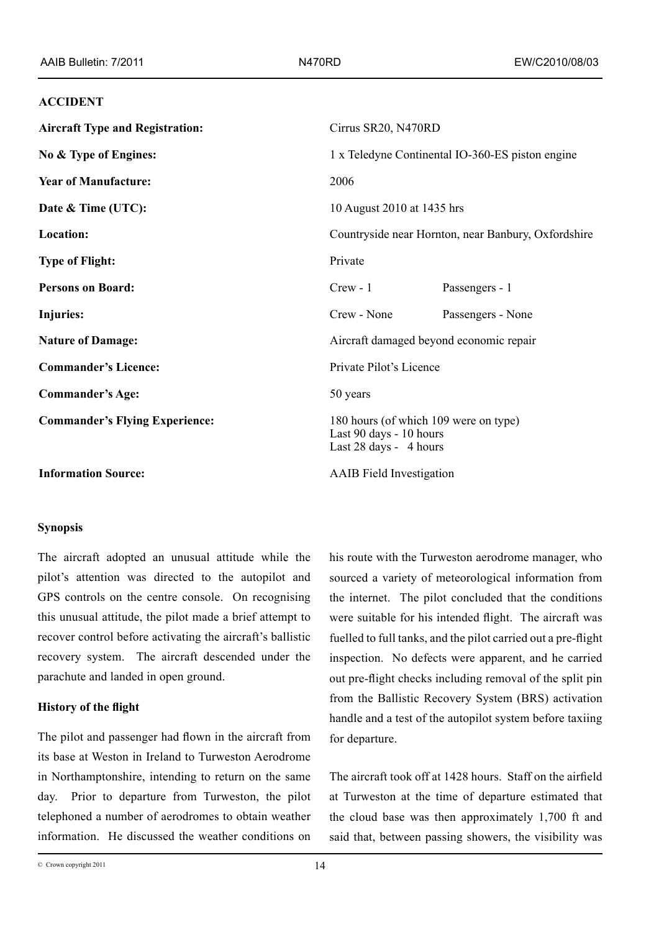### **ACCIDENT**

| <b>Aircraft Type and Registration:</b> | Cirrus SR20, N470RD                                                                        |                   |  |
|----------------------------------------|--------------------------------------------------------------------------------------------|-------------------|--|
| No & Type of Engines:                  | 1 x Teledyne Continental IO-360-ES piston engine                                           |                   |  |
| <b>Year of Manufacture:</b>            | 2006                                                                                       |                   |  |
| Date & Time (UTC):                     | 10 August 2010 at 1435 hrs                                                                 |                   |  |
| Location:                              | Countryside near Hornton, near Banbury, Oxfordshire                                        |                   |  |
| <b>Type of Flight:</b>                 | Private                                                                                    |                   |  |
| <b>Persons on Board:</b>               | $Crew - 1$                                                                                 | Passengers - 1    |  |
| Injuries:                              | Crew - None                                                                                | Passengers - None |  |
| <b>Nature of Damage:</b>               | Aircraft damaged beyond economic repair                                                    |                   |  |
| <b>Commander's Licence:</b>            | Private Pilot's Licence                                                                    |                   |  |
| <b>Commander's Age:</b>                | 50 years                                                                                   |                   |  |
| <b>Commander's Flying Experience:</b>  | 180 hours (of which 109 were on type)<br>Last 90 days - 10 hours<br>Last 28 days - 4 hours |                   |  |
| <b>Information Source:</b>             | <b>AAIB</b> Field Investigation                                                            |                   |  |

# **Synopsis**

The aircraft adopted an unusual attitude while the pilot's attention was directed to the autopilot and GPS controls on the centre console. On recognising this unusual attitude, the pilot made a brief attempt to recover control before activating the aircraft's ballistic recovery system. The aircraft descended under the parachute and landed in open ground.

# **History of the flight**

The pilot and passenger had flown in the aircraft from its base at Weston in Ireland to Turweston Aerodrome in Northamptonshire, intending to return on the same day. Prior to departure from Turweston, the pilot telephoned a number of aerodromes to obtain weather information. He discussed the weather conditions on his route with the Turweston aerodrome manager, who sourced a variety of meteorological information from the internet. The pilot concluded that the conditions were suitable for his intended flight. The aircraft was fuelled to full tanks, and the pilot carried out a pre-flight inspection. No defects were apparent, and he carried out pre‑flight checks including removal of the split pin from the Ballistic Recovery System (BRS) activation handle and a test of the autopilot system before taxiing for departure.

The aircraft took off at 1428 hours. Staff on the airfield at Turweston at the time of departure estimated that the cloud base was then approximately 1,700 ft and said that, between passing showers, the visibility was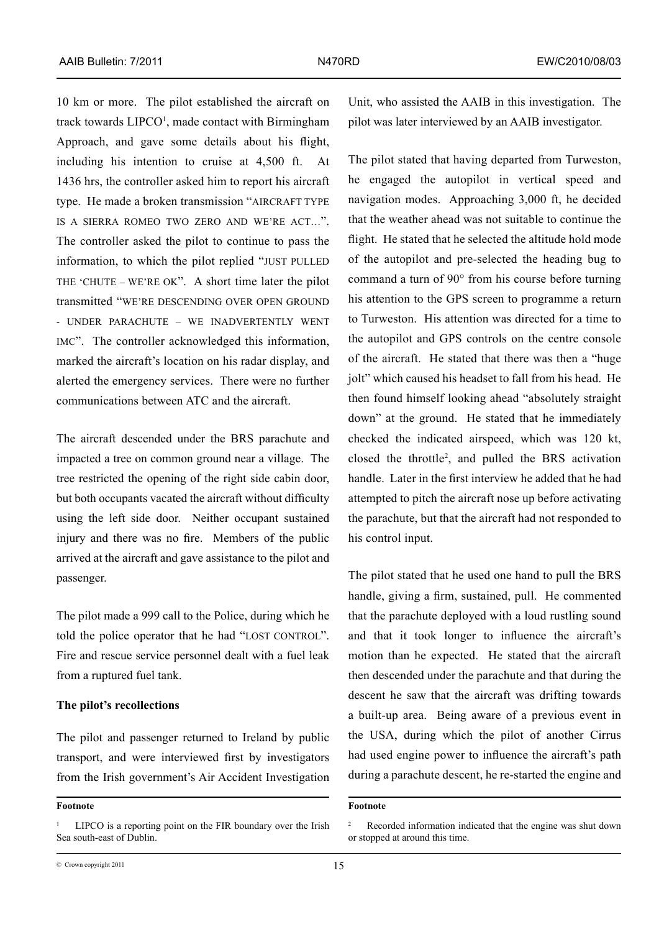10 km or more. The pilot established the aircraft on track towards LIPCO<sup>1</sup>, made contact with Birmingham Approach, and gave some details about his flight, including his intention to cruise at 4,500 ft. At 1436 hrs, the controller asked him to report his aircraft type. He made a broken transmission "AIRCRAFT TYPE is a sierra romeo two zero and we're act…". The controller asked the pilot to continue to pass the information, to which the pilot replied "JUST PULLED THE 'CHUTE – WE'RE OK". A short time later the pilot transmitted "we're descending over open ground - under parachute – we inadvertently went imc". The controller acknowledged this information, marked the aircraft's location on his radar display, and alerted the emergency services. There were no further communications between ATC and the aircraft.

The aircraft descended under the BRS parachute and impacted a tree on common ground near a village. The tree restricted the opening of the right side cabin door, but both occupants vacated the aircraft without difficulty using the left side door. Neither occupant sustained injury and there was no fire. Members of the public arrived at the aircraft and gave assistance to the pilot and passenger.

The pilot made a 999 call to the Police, during which he told the police operator that he had "LOST CONTROL". Fire and rescue service personnel dealt with a fuel leak from a ruptured fuel tank.

## **The pilot's recollections**

The pilot and passenger returned to Ireland by public transport, and were interviewed first by investigators from the Irish government's Air Accident Investigation

**Footnote**

Unit, who assisted the AAIB in this investigation. The pilot was later interviewed by an AAIB investigator.

The pilot stated that having departed from Turweston, he engaged the autopilot in vertical speed and navigation modes. Approaching 3,000 ft, he decided that the weather ahead was not suitable to continue the flight. He stated that he selected the altitude hold mode of the autopilot and pre-selected the heading bug to command a turn of 90° from his course before turning his attention to the GPS screen to programme a return to Turweston. His attention was directed for a time to the autopilot and GPS controls on the centre console of the aircraft. He stated that there was then a "huge jolt" which caused his headset to fall from his head. He then found himself looking ahead "absolutely straight down" at the ground. He stated that he immediately checked the indicated airspeed, which was 120 kt, closed the throttle2 , and pulled the BRS activation handle. Later in the first interview he added that he had attempted to pitch the aircraft nose up before activating the parachute, but that the aircraft had not responded to his control input.

The pilot stated that he used one hand to pull the BRS handle, giving a firm, sustained, pull. He commented that the parachute deployed with a loud rustling sound and that it took longer to influence the aircraft's motion than he expected. He stated that the aircraft then descended under the parachute and that during the descent he saw that the aircraft was drifting towards a built-up area. Being aware of a previous event in the USA, during which the pilot of another Cirrus had used engine power to influence the aircraft's path during a parachute descent, he re-started the engine and

<sup>1</sup> LIPCO is a reporting point on the FIR boundary over the Irish Sea south-east of Dublin.

**Footnote**

Recorded information indicated that the engine was shut down or stopped at around this time.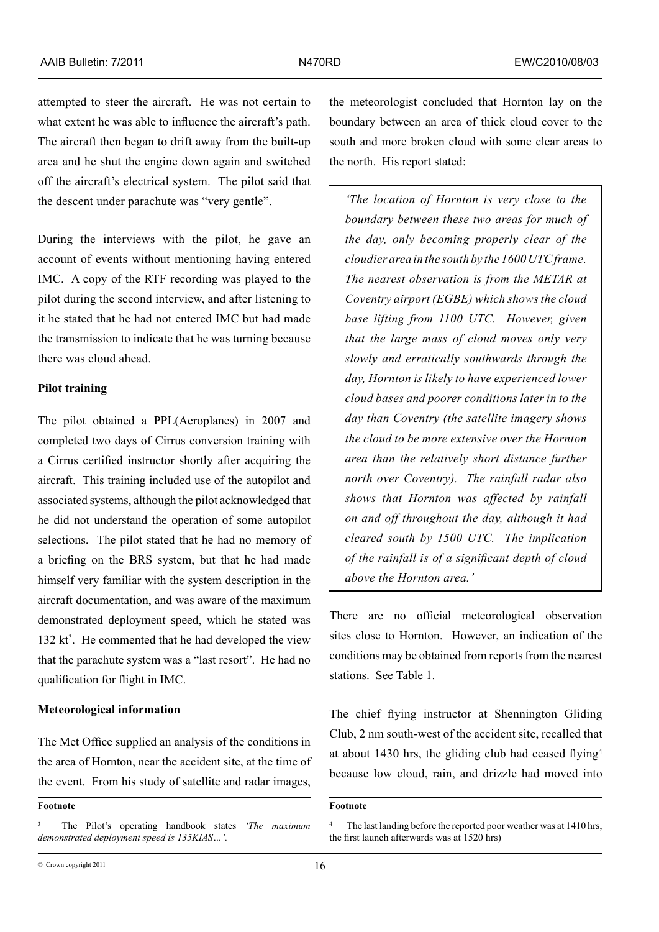attempted to steer the aircraft. He was not certain to what extent he was able to influence the aircraft's path. The aircraft then began to drift away from the built-up area and he shut the engine down again and switched off the aircraft's electrical system. The pilot said that the descent under parachute was "very gentle".

During the interviews with the pilot, he gave an account of events without mentioning having entered IMC. A copy of the RTF recording was played to the pilot during the second interview, and after listening to it he stated that he had not entered IMC but had made the transmission to indicate that he was turning because there was cloud ahead.

### **Pilot training**

The pilot obtained a PPL(Aeroplanes) in 2007 and completed two days of Cirrus conversion training with a Cirrus certified instructor shortly after acquiring the aircraft. This training included use of the autopilot and associated systems, although the pilot acknowledged that he did not understand the operation of some autopilot selections. The pilot stated that he had no memory of a briefing on the BRS system, but that he had made himself very familiar with the system description in the aircraft documentation, and was aware of the maximum demonstrated deployment speed, which he stated was  $132$  kt<sup>3</sup>. He commented that he had developed the view that the parachute system was a "last resort". He had no qualification for flight in IMC.

## **Meteorological information**

The Met Office supplied an analysis of the conditions in the area of Hornton, near the accident site, at the time of the event. From his study of satellite and radar images,

the meteorologist concluded that Hornton lay on the boundary between an area of thick cloud cover to the south and more broken cloud with some clear areas to the north. His report stated:

*'The location of Hornton is very close to the boundary between these two areas for much of the day, only becoming properly clear of the cloudier area in the south by the 1600 UTC frame. The nearest observation is from the METAR at Coventry airport (EGBE) which shows the cloud base lifting from 1100 UTC. However, given that the large mass of cloud moves only very slowly and erratically southwards through the day, Hornton is likely to have experienced lower cloud bases and poorer conditions later in to the day than Coventry (the satellite imagery shows the cloud to be more extensive over the Hornton area than the relatively short distance further north over Coventry). The rainfall radar also shows that Hornton was affected by rainfall on and off throughout the day, although it had cleared south by 1500 UTC. The implication of the rainfall is of a significant depth of cloud above the Hornton area.'*

There are no official meteorological observation sites close to Hornton. However, an indication of the conditions may be obtained from reports from the nearest stations. See Table 1.

The chief flying instructor at Shennington Gliding Club, 2 nm south-west of the accident site, recalled that at about 1430 hrs, the gliding club had ceased flying<sup>4</sup> because low cloud, rain, and drizzle had moved into

**Footnote**

<sup>3</sup> The Pilot's operating handbook states *'The maximum demonstrated deployment speed is 135KIAS…'.*

**Footnote**

The last landing before the reported poor weather was at 1410 hrs, the first launch afterwards was at 1520 hrs)

 $\degree$  Crown copyright 2011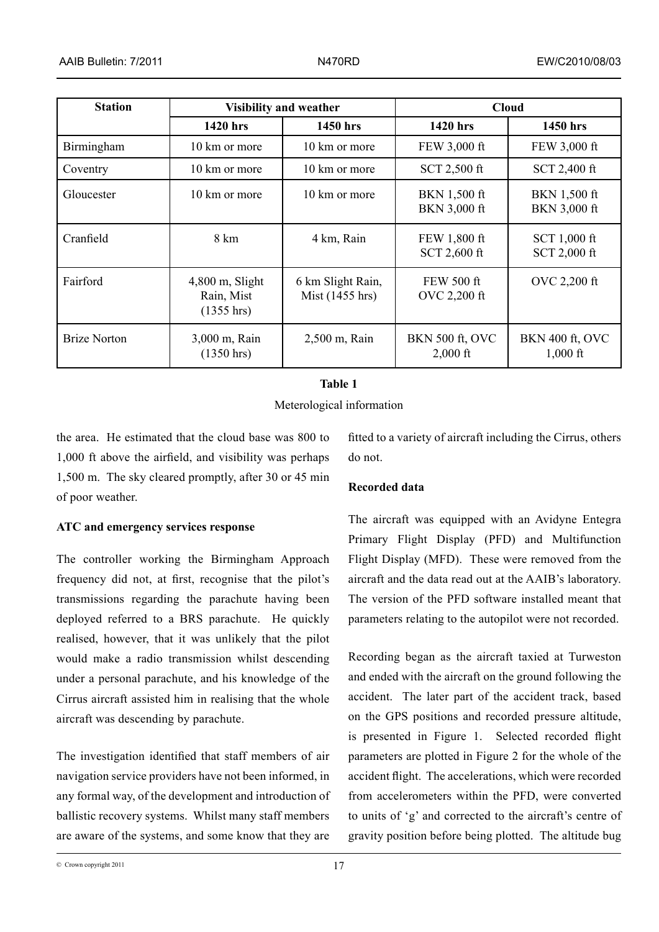| <b>Station</b>      | <b>Visibility and weather</b>                 |                                      | <b>Cloud</b>                         |                                      |
|---------------------|-----------------------------------------------|--------------------------------------|--------------------------------------|--------------------------------------|
|                     | 1420 hrs                                      | 1450 hrs                             | 1420 hrs                             | 1450 hrs                             |
| Birmingham          | 10 km or more                                 | 10 km or more                        | FEW 3,000 ft                         | FEW 3,000 ft                         |
| Coventry            | 10 km or more                                 | 10 km or more                        | SCT 2,500 ft                         | SCT 2,400 ft                         |
| Gloucester          | 10 km or more                                 | 10 km or more                        | BKN 1,500 ft<br>BKN 3,000 ft         | BKN 1,500 ft<br><b>BKN 3,000 ft</b>  |
| Cranfield           | 8 km                                          | 4 km, Rain                           | FEW 1,800 ft<br>SCT 2,600 ft         | SCT 1,000 ft<br>SCT 2,000 ft         |
| Fairford            | $4,800$ m, Slight<br>Rain, Mist<br>(1355 hrs) | 6 km Slight Rain,<br>Mist (1455 hrs) | <b>FEW 500 ft</b><br>OVC 2,200 ft    | OVC 2,200 ft                         |
| <b>Brize Norton</b> | 3,000 m, Rain<br>$(1350 \text{ hrs})$         | 2,500 m, Rain                        | <b>BKN 500 ft, OVC</b><br>$2,000$ ft | <b>BKN 400 ft, OVC</b><br>$1,000$ ft |

# **Table 1**

Meterological information

the area. He estimated that the cloud base was 800 to 1,000 ft above the airfield, and visibility was perhaps 1,500 m. The sky cleared promptly, after 30 or 45 min of poor weather.

**ATC and emergency services response**

The controller working the Birmingham Approach frequency did not, at first, recognise that the pilot's transmissions regarding the parachute having been deployed referred to a BRS parachute. He quickly realised, however, that it was unlikely that the pilot would make a radio transmission whilst descending under a personal parachute, and his knowledge of the Cirrus aircraft assisted him in realising that the whole aircraft was descending by parachute.

The investigation identified that staff members of air navigation service providers have not been informed, in any formal way, of the development and introduction of ballistic recovery systems. Whilst many staff members are aware of the systems, and some know that they are

fitted to a variety of aircraft including the Cirrus, others do not.

# **Recorded data**

The aircraft was equipped with an Avidyne Entegra Primary Flight Display (PFD) and Multifunction Flight Display (MFD). These were removed from the aircraft and the data read out at the AAIB's laboratory. The version of the PFD software installed meant that parameters relating to the autopilot were not recorded.

Recording began as the aircraft taxied at Turweston and ended with the aircraft on the ground following the accident. The later part of the accident track, based on the GPS positions and recorded pressure altitude, is presented in Figure 1. Selected recorded flight parameters are plotted in Figure 2 for the whole of the accident flight. The accelerations, which were recorded from accelerometers within the PFD, were converted to units of 'g' and corrected to the aircraft's centre of gravity position before being plotted. The altitude bug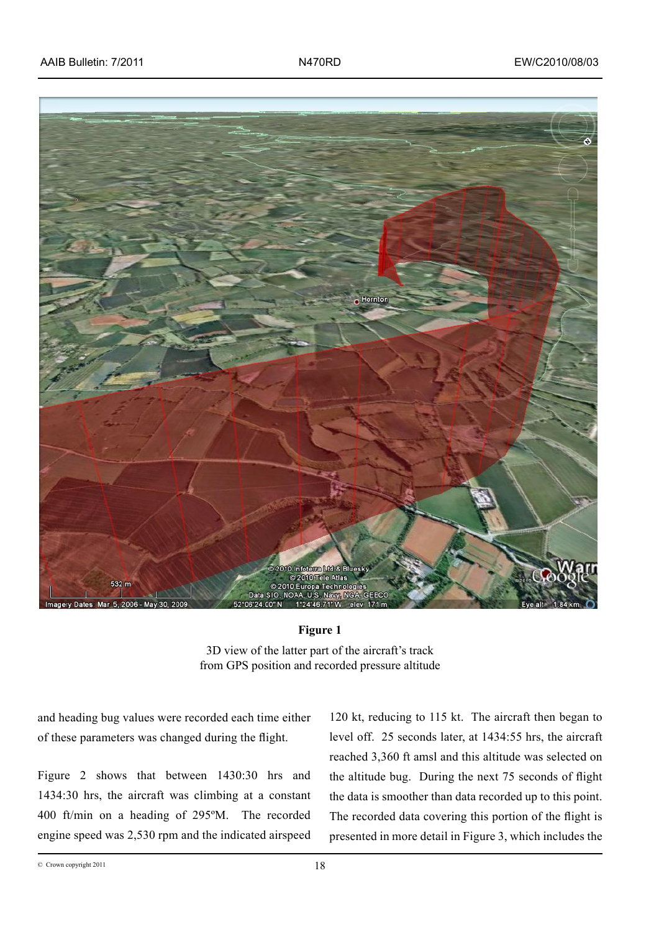

### **Figure 1**

3D view of the latter part of the aircraft's track from GPS position and recorded pressure altitude

and heading bug values were recorded each time either of these parameters was changed during the flight.

Figure 2 shows that between 1430:30 hrs and 1434:30 hrs, the aircraft was climbing at a constant 400 ft/min on a heading of 295ºM. The recorded engine speed was 2,530 rpm and the indicated airspeed

120 kt, reducing to 115 kt. The aircraft then began to level off. 25 seconds later, at 1434:55 hrs, the aircraft reached 3,360 ft amsl and this altitude was selected on the altitude bug. During the next 75 seconds of flight the data is smoother than data recorded up to this point. The recorded data covering this portion of the flight is presented in more detail in Figure 3, which includes the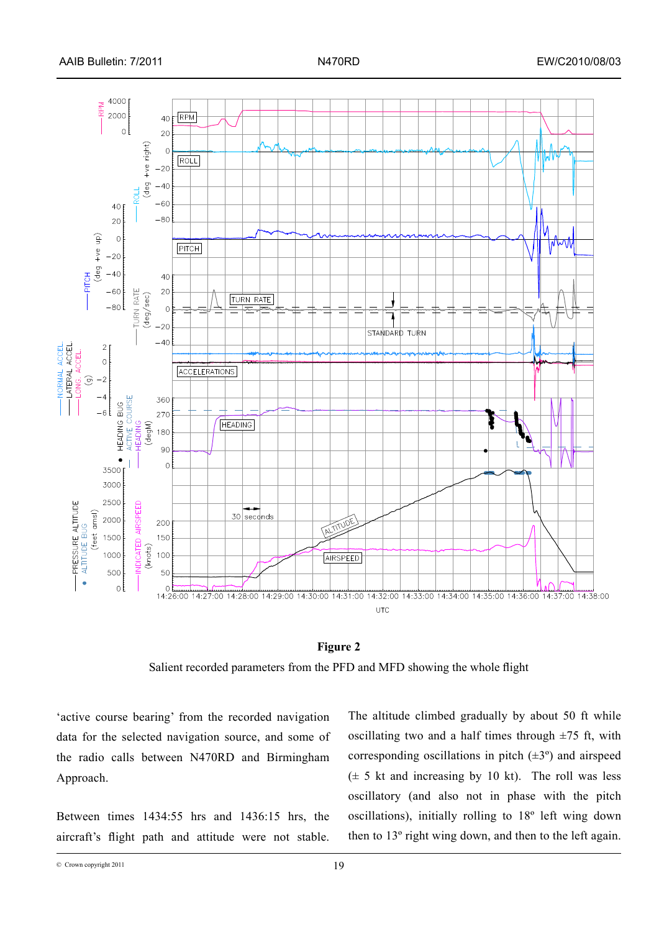



Salient recorded parameters from the PFD and MFD showing the whole flight

'active course bearing' from the recorded navigation data for the selected navigation source, and some of the radio calls between N470RD and Birmingham Approach.

Between times 1434:55 hrs and 1436:15 hrs, the aircraft's flight path and attitude were not stable.

The altitude climbed gradually by about 50 ft while oscillating two and a half times through  $\pm$ 75 ft, with corresponding oscillations in pitch  $(\pm 3^{\circ})$  and airspeed  $(\pm 5 \text{ kt and increasing by 10 kt})$ . The roll was less oscillatory (and also not in phase with the pitch oscillations), initially rolling to 18º left wing down then to 13º right wing down, and then to the left again.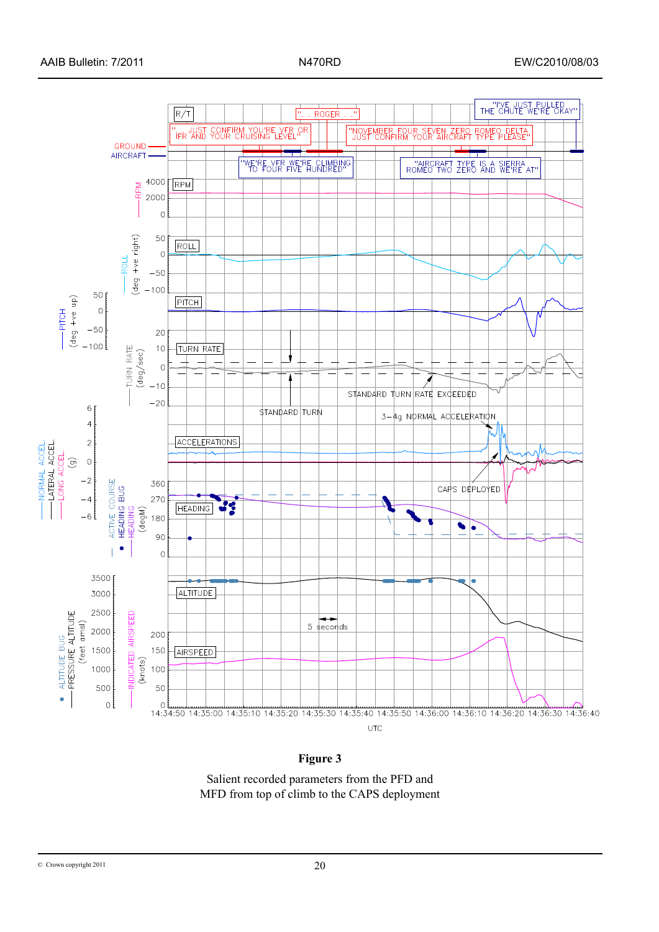

# **Figure 3**

Salient recorded parameters from the PFD and MFD from top of climb to the CAPS deployment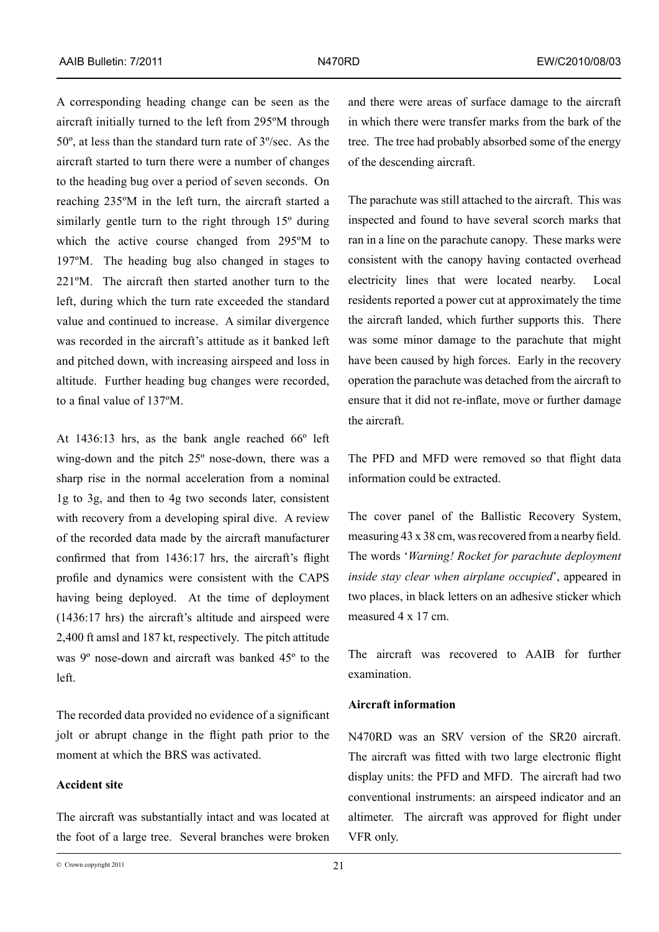A corresponding heading change can be seen as the aircraft initially turned to the left from 295ºM through 50º, at less than the standard turn rate of 3º/sec. As the aircraft started to turn there were a number of changes to the heading bug over a period of seven seconds. On reaching 235ºM in the left turn, the aircraft started a similarly gentle turn to the right through 15º during which the active course changed from 295ºM to 197ºM. The heading bug also changed in stages to 221ºM. The aircraft then started another turn to the left, during which the turn rate exceeded the standard value and continued to increase. A similar divergence was recorded in the aircraft's attitude as it banked left and pitched down, with increasing airspeed and loss in altitude. Further heading bug changes were recorded, to a final value of 137ºM.

At 1436:13 hrs, as the bank angle reached 66º left wing-down and the pitch 25º nose-down, there was a sharp rise in the normal acceleration from a nominal 1g to 3g, and then to 4g two seconds later, consistent with recovery from a developing spiral dive. A review of the recorded data made by the aircraft manufacturer confirmed that from 1436:17 hrs, the aircraft's flight profile and dynamics were consistent with the CAPS having being deployed. At the time of deployment (1436:17 hrs) the aircraft's altitude and airspeed were 2,400 ft amsl and 187 kt, respectively. The pitch attitude was 9º nose-down and aircraft was banked 45º to the left.

The recorded data provided no evidence of a significant jolt or abrupt change in the flight path prior to the moment at which the BRS was activated.

# **Accident site**

The aircraft was substantially intact and was located at the foot of a large tree. Several branches were broken and there were areas of surface damage to the aircraft in which there were transfer marks from the bark of the tree. The tree had probably absorbed some of the energy of the descending aircraft.

The parachute was still attached to the aircraft. This was inspected and found to have several scorch marks that ran in a line on the parachute canopy. These marks were consistent with the canopy having contacted overhead electricity lines that were located nearby. Local residents reported a power cut at approximately the time the aircraft landed, which further supports this. There was some minor damage to the parachute that might have been caused by high forces. Early in the recovery operation the parachute was detached from the aircraft to ensure that it did not re-inflate, move or further damage the aircraft.

The PFD and MFD were removed so that flight data information could be extracted.

The cover panel of the Ballistic Recovery System, measuring 43 x 38 cm, was recovered from a nearby field. The words '*Warning! Rocket for parachute deployment inside stay clear when airplane occupied*', appeared in two places, in black letters on an adhesive sticker which measured 4 x 17 cm.

The aircraft was recovered to AAIB for further examination.

## **Aircraft information**

N470RD was an SRV version of the SR20 aircraft. The aircraft was fitted with two large electronic flight display units: the PFD and MFD. The aircraft had two conventional instruments: an airspeed indicator and an altimeter. The aircraft was approved for flight under VFR only.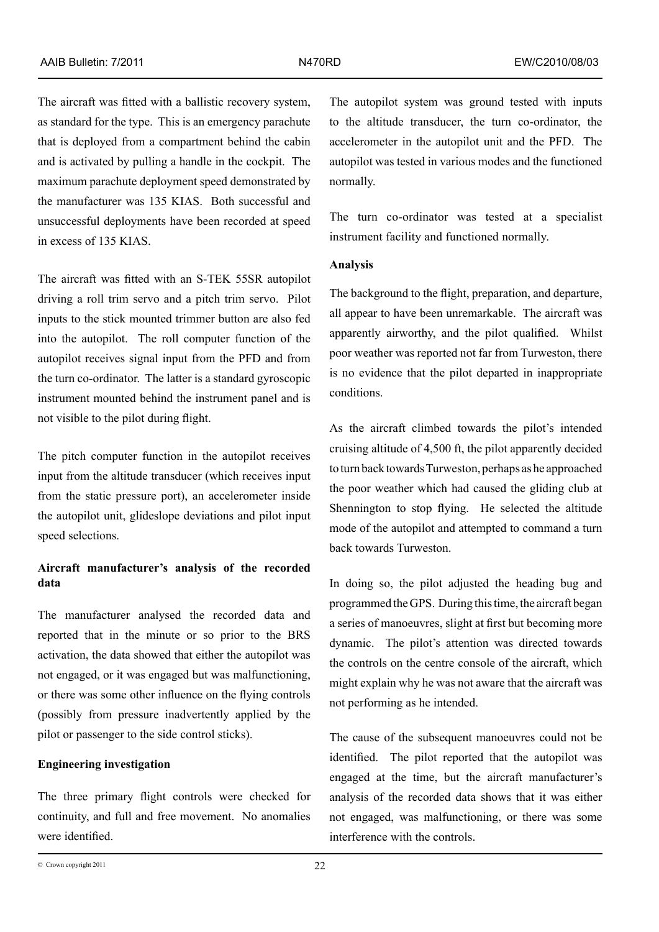The aircraft was fitted with a ballistic recovery system, as standard for the type. This is an emergency parachute that is deployed from a compartment behind the cabin and is activated by pulling a handle in the cockpit. The maximum parachute deployment speed demonstrated by the manufacturer was 135 KIAS. Both successful and unsuccessful deployments have been recorded at speed in excess of 135 KIAS.

The aircraft was fitted with an S-TEK 55SR autopilot driving a roll trim servo and a pitch trim servo. Pilot inputs to the stick mounted trimmer button are also fed into the autopilot. The roll computer function of the autopilot receives signal input from the PFD and from the turn co-ordinator. The latter is a standard gyroscopic instrument mounted behind the instrument panel and is not visible to the pilot during flight.

The pitch computer function in the autopilot receives input from the altitude transducer (which receives input from the static pressure port), an accelerometer inside the autopilot unit, glideslope deviations and pilot input speed selections.

# **Aircraft manufacturer's analysis of the recorded data**

The manufacturer analysed the recorded data and reported that in the minute or so prior to the BRS activation, the data showed that either the autopilot was not engaged, or it was engaged but was malfunctioning, or there was some other influence on the flying controls (possibly from pressure inadvertently applied by the pilot or passenger to the side control sticks).

### **Engineering investigation**

The three primary flight controls were checked for continuity, and full and free movement. No anomalies were identified.

The autopilot system was ground tested with inputs to the altitude transducer, the turn co-ordinator, the accelerometer in the autopilot unit and the PFD. The autopilot was tested in various modes and the functioned normally.

The turn co-ordinator was tested at a specialist instrument facility and functioned normally.

# **Analysis**

The background to the flight, preparation, and departure, all appear to have been unremarkable. The aircraft was apparently airworthy, and the pilot qualified. Whilst poor weather was reported not far from Turweston, there is no evidence that the pilot departed in inappropriate conditions.

As the aircraft climbed towards the pilot's intended cruising altitude of 4,500 ft, the pilot apparently decided to turn back towards Turweston, perhaps as he approached the poor weather which had caused the gliding club at Shennington to stop flying. He selected the altitude mode of the autopilot and attempted to command a turn back towards Turweston.

In doing so, the pilot adjusted the heading bug and programmed the GPS. During this time, the aircraft began a series of manoeuvres, slight at first but becoming more dynamic. The pilot's attention was directed towards the controls on the centre console of the aircraft, which might explain why he was not aware that the aircraft was not performing as he intended.

The cause of the subsequent manoeuvres could not be identified. The pilot reported that the autopilot was engaged at the time, but the aircraft manufacturer's analysis of the recorded data shows that it was either not engaged, was malfunctioning, or there was some interference with the controls.